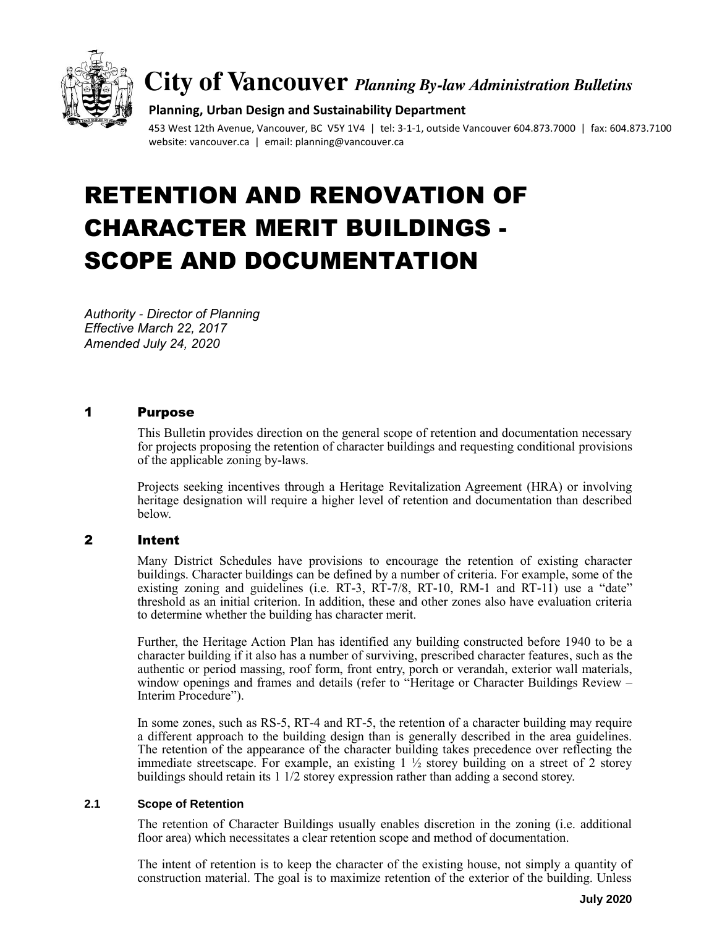

# **City of Vancouver** *Planning By-law Administration Bulletins*

#### **Planning, Urban Design and Sustainability Department**

453 West 12th Avenue, Vancouver, BC V5Y 1V4 | tel: 3-1-1, outside Vancouver 604.873.7000 | fax: 604.873.7100 website: vancouver.ca | email: planning@vancouver.ca

# RETENTION AND RENOVATION OF CHARACTER MERIT BUILDINGS - SCOPE AND DOCUMENTATION

*Authority - Director of Planning Effective March 22, 2017 Amended July 24, 2020*

#### 1 Purpose

This Bulletin provides direction on the general scope of retention and documentation necessary for projects proposing the retention of character buildings and requesting conditional provisions of the applicable zoning by-laws.

Projects seeking incentives through a Heritage Revitalization Agreement (HRA) or involving heritage designation will require a higher level of retention and documentation than described below.

# 2 Intent

Many District Schedules have provisions to encourage the retention of existing character buildings. Character buildings can be defined by a number of criteria. For example, some of the existing zoning and guidelines (i.e.  $RT-3$ ,  $RT-7/8$ ,  $RT-10$ ,  $RM-1$  and  $RT-11$ ) use a "date" threshold as an initial criterion. In addition, these and other zones also have evaluation criteria to determine whether the building has character merit.

Further, the Heritage Action Plan has identified any building constructed before 1940 to be a character building if it also has a number of surviving, prescribed character features, such as the authentic or period massing, roof form, front entry, porch or verandah, exterior wall materials, window openings and frames and details (refer to "Heritage or Character Buildings Review – Interim Procedure").

In some zones, such as RS-5, RT-4 and RT-5, the retention of a character building may require a different approach to the building design than is generally described in the area guidelines. The retention of the appearance of the character building takes precedence over reflecting the immediate streetscape. For example, an existing  $1 \frac{1}{2}$  storey building on a street of 2 storey buildings should retain its 1 1/2 storey expression rather than adding a second storey.

#### **2.1 Scope of Retention**

The retention of Character Buildings usually enables discretion in the zoning (i.e. additional floor area) which necessitates a clear retention scope and method of documentation.

The intent of retention is to keep the character of the existing house, not simply a quantity of construction material. The goal is to maximize retention of the exterior of the building. Unless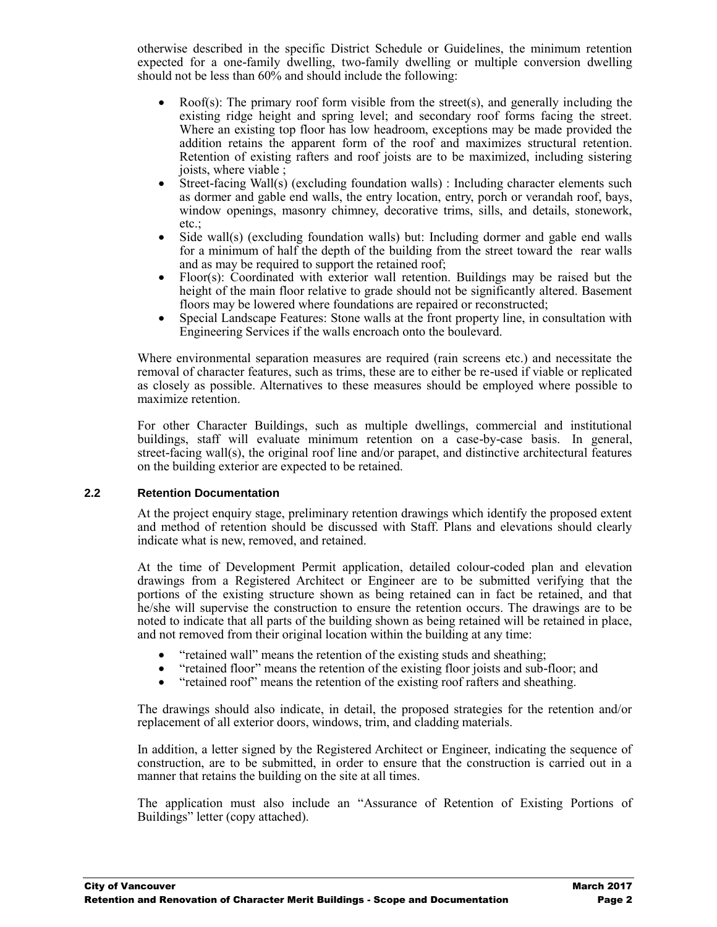otherwise described in the specific District Schedule or Guidelines, the minimum retention expected for a one-family dwelling, two-family dwelling or multiple conversion dwelling should not be less than 60% and should include the following:

- Roof(s): The primary roof form visible from the street(s), and generally including the existing ridge height and spring level; and secondary roof forms facing the street. Where an existing top floor has low headroom, exceptions may be made provided the addition retains the apparent form of the roof and maximizes structural retention. Retention of existing rafters and roof joists are to be maximized, including sistering joists, where viable ;
- Street-facing Wall(s) (excluding foundation walls) : Including character elements such as dormer and gable end walls, the entry location, entry, porch or verandah roof, bays, window openings, masonry chimney, decorative trims, sills, and details, stonework, etc.;
- Side wall(s) (excluding foundation walls) but: Including dormer and gable end walls for a minimum of half the depth of the building from the street toward the rear walls and as may be required to support the retained roof;
- Floor(s): Coordinated with exterior wall retention. Buildings may be raised but the height of the main floor relative to grade should not be significantly altered. Basement floors may be lowered where foundations are repaired or reconstructed;
- Special Landscape Features: Stone walls at the front property line, in consultation with Engineering Services if the walls encroach onto the boulevard.

Where environmental separation measures are required (rain screens etc.) and necessitate the removal of character features, such as trims, these are to either be re-used if viable or replicated as closely as possible. Alternatives to these measures should be employed where possible to maximize retention.

For other Character Buildings, such as multiple dwellings, commercial and institutional buildings, staff will evaluate minimum retention on a case-by-case basis. In general, street-facing wall(s), the original roof line and/or parapet, and distinctive architectural features on the building exterior are expected to be retained.

#### **2.2 Retention Documentation**

At the project enquiry stage, preliminary retention drawings which identify the proposed extent and method of retention should be discussed with Staff. Plans and elevations should clearly indicate what is new, removed, and retained.

At the time of Development Permit application, detailed colour-coded plan and elevation drawings from a Registered Architect or Engineer are to be submitted verifying that the portions of the existing structure shown as being retained can in fact be retained, and that he/she will supervise the construction to ensure the retention occurs. The drawings are to be noted to indicate that all parts of the building shown as being retained will be retained in place, and not removed from their original location within the building at any time:

- "retained wall" means the retention of the existing studs and sheathing;<br>• "retained floor" means the retention of the existing floor joists and sub-
- "retained floor" means the retention of the existing floor joists and sub-floor; and
- "retained roof" means the retention of the existing roof rafters and sheathing.

The drawings should also indicate, in detail, the proposed strategies for the retention and/or replacement of all exterior doors, windows, trim, and cladding materials.

In addition, a letter signed by the Registered Architect or Engineer, indicating the sequence of construction, are to be submitted, in order to ensure that the construction is carried out in a manner that retains the building on the site at all times.

The application must also include an "Assurance of Retention of Existing Portions of Buildings" letter (copy attached).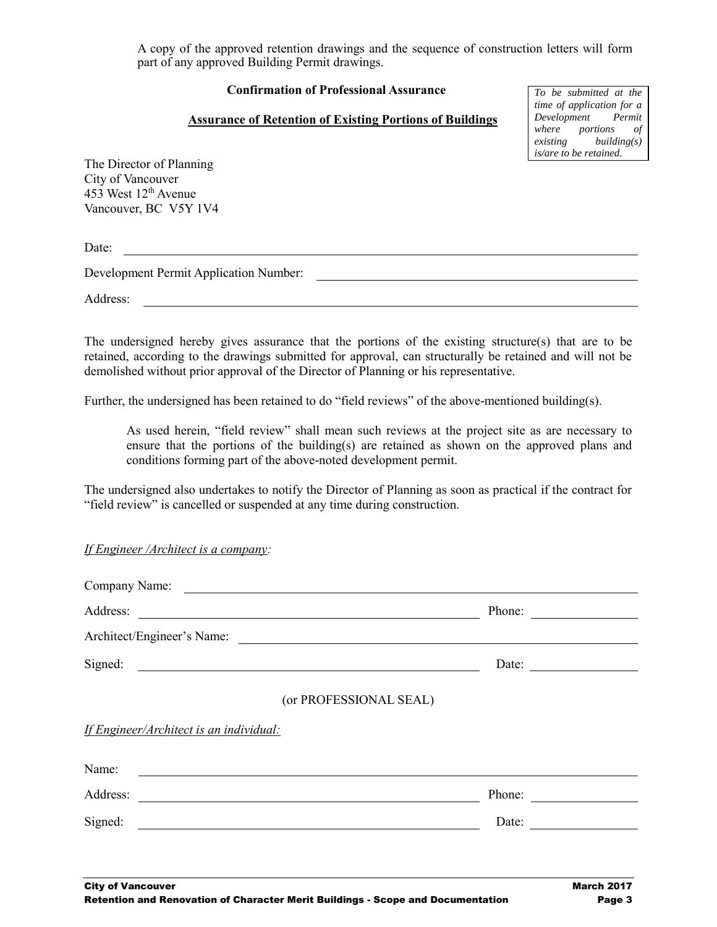A copy of the approved retention drawings and the sequence of construction letters will form part of any approved Building Permit drawings.

## **Confirmation of Professional Assurance**

## **Assurance of Retention of Existing Portions of Buildings**

*To be submitted at the time of application for a Development Permit where portions of existing building(s) is/are to be retained.*

The Director of Planning City of Vancouver 453 West 12th Avenue Vancouver, BC V5Y 1V4

Date:

Development Permit Application Number:

Address:

The undersigned hereby gives assurance that the portions of the existing structure(s) that are to be retained, according to the drawings submitted for approval, can structurally be retained and will not be demolished without prior approval of the Director of Planning or his representative.

Further, the undersigned has been retained to do "field reviews" of the above-mentioned building(s).

As used herein, "field review" shall mean such reviews at the project site as are necessary to ensure that the portions of the building(s) are retained as shown on the approved plans and conditions forming part of the above-noted development permit.

The undersigned also undertakes to notify the Director of Planning as soon as practical if the contract for "field review" is cancelled or suspended at any time during construction.

*If Engineer /Architect is a company:*

| Address:                                                                                                                                                                                                                                      | Phone:                 |  |
|-----------------------------------------------------------------------------------------------------------------------------------------------------------------------------------------------------------------------------------------------|------------------------|--|
|                                                                                                                                                                                                                                               |                        |  |
| Signed:                                                                                                                                                                                                                                       | Date:                  |  |
|                                                                                                                                                                                                                                               | (or PROFESSIONAL SEAL) |  |
| If Engineer/Architect is an individual:                                                                                                                                                                                                       |                        |  |
| Name:<br><u> Andreas Andreas Andreas Andreas Andreas Andreas Andreas Andreas Andreas Andreas Andreas Andreas Andreas Andreas Andreas Andreas Andreas Andreas Andreas Andreas Andreas Andreas Andreas Andreas Andreas Andreas Andreas Andr</u> |                        |  |
| Address:                                                                                                                                                                                                                                      | Phone:                 |  |
| Signed:                                                                                                                                                                                                                                       | Date:                  |  |
|                                                                                                                                                                                                                                               |                        |  |
|                                                                                                                                                                                                                                               |                        |  |